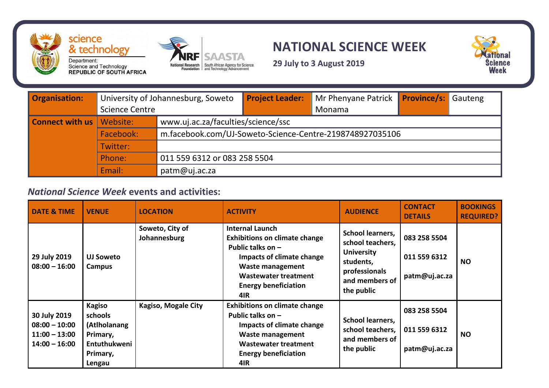

## **NATIONAL SCIENCE WEEK**



**29 July to 3 August 2019**

| <b>Organisation:</b>   | University of Johannesburg, Soweto<br><b>Science Centre</b> |                                                          | <b>Project Leader:</b> | Mr Phenyane Patrick Province/s: Gauteng<br>Monama |  |  |
|------------------------|-------------------------------------------------------------|----------------------------------------------------------|------------------------|---------------------------------------------------|--|--|
| <b>Connect with us</b> | Website:                                                    | www.uj.ac.za/faculties/science/ssc                       |                        |                                                   |  |  |
|                        | Facebook:                                                   | m.facebook.com/UJ-Soweto-Science-Centre-2198748927035106 |                        |                                                   |  |  |
|                        | Twitter:                                                    |                                                          |                        |                                                   |  |  |
|                        | Phone:                                                      | 011 559 6312 or 083 258 5504                             |                        |                                                   |  |  |
|                        | Email:                                                      | patm@uj.ac.za                                            |                        |                                                   |  |  |

STA

## *National Science Week* **events and activities:**

| <b>DATE &amp; TIME</b>                                                | <b>VENUE</b>                                                                               | <b>LOCATION</b>                 | <b>ACTIVITY</b>                                                                                                                                                                                             | <b>AUDIENCE</b>                                                                                                                | <b>CONTACT</b><br><b>DETAILS</b>              | <b>BOOKINGS</b><br><b>REQUIRED?</b> |
|-----------------------------------------------------------------------|--------------------------------------------------------------------------------------------|---------------------------------|-------------------------------------------------------------------------------------------------------------------------------------------------------------------------------------------------------------|--------------------------------------------------------------------------------------------------------------------------------|-----------------------------------------------|-------------------------------------|
| 29 July 2019<br>$08:00 - 16:00$                                       | <b>UJ Soweto</b><br>Campus                                                                 | Soweto, City of<br>Johannesburg | <b>Internal Launch</b><br><b>Exhibitions on climate change</b><br>Public talks on $-$<br>Impacts of climate change<br><b>Waste management</b><br>Wastewater treatment<br><b>Energy beneficiation</b><br>4IR | <b>School learners,</b><br>school teachers,<br><b>University</b><br>students,<br>professionals<br>and members of<br>the public | 083 258 5504<br>011 559 6312<br>patm@uj.ac.za | <b>NO</b>                           |
| 30 July 2019<br>$08:00 - 10:00$<br>$11:00 - 13:00$<br>$14:00 - 16:00$ | <b>Kagiso</b><br>schools<br>(Atlholanang<br>Primary,<br>Entuthukweni<br>Primary,<br>Lengau | Kagiso, Mogale City             | <b>Exhibitions on climate change</b><br>Public talks on $-$<br>Impacts of climate change<br><b>Waste management</b><br><b>Wastewater treatment</b><br><b>Energy beneficiation</b><br>4IR                    | <b>School learners,</b><br>school teachers,<br>and members of<br>the public                                                    | 083 258 5504<br>011 559 6312<br>patm@uj.ac.za | <b>NO</b>                           |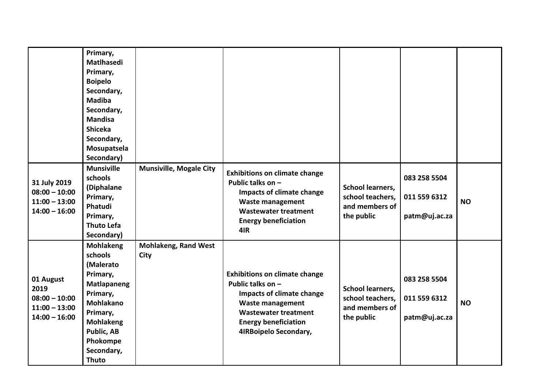|                                                                            | Primary,<br>Matlhasedi<br>Primary,<br><b>Boipelo</b><br>Secondary,<br><b>Madiba</b><br>Secondary,<br><b>Mandisa</b><br><b>Shiceka</b><br>Secondary,<br>Mosupatsela<br>Secondary)            |                                            |                                                                                                                                                                                                          |                                                                             |                                               |           |
|----------------------------------------------------------------------------|---------------------------------------------------------------------------------------------------------------------------------------------------------------------------------------------|--------------------------------------------|----------------------------------------------------------------------------------------------------------------------------------------------------------------------------------------------------------|-----------------------------------------------------------------------------|-----------------------------------------------|-----------|
| 31 July 2019<br>$08:00 - 10:00$<br>$11:00 - 13:00$<br>$14:00 - 16:00$      | <b>Munsiville</b><br>schools<br>(Diphalane<br>Primary,<br>Phatudi<br>Primary,<br><b>Thuto Lefa</b><br>Secondary)                                                                            | <b>Munsiville, Mogale City</b>             | <b>Exhibitions on climate change</b><br>Public talks on -<br>Impacts of climate change<br><b>Waste management</b><br><b>Wastewater treatment</b><br><b>Energy beneficiation</b><br>4IR                   | <b>School learners,</b><br>school teachers,<br>and members of<br>the public | 083 258 5504<br>011 559 6312<br>patm@uj.ac.za | <b>NO</b> |
| 01 August<br>2019<br>$08:00 - 10:00$<br>$11:00 - 13:00$<br>$14:00 - 16:00$ | <b>Mohlakeng</b><br>schools<br>(Malerato<br>Primary,<br>Matlapaneng<br>Primary,<br><b>Mohlakano</b><br>Primary,<br><b>Mohlakeng</b><br>Public, AB<br>Phokompe<br>Secondary,<br><b>Thuto</b> | <b>Mohlakeng, Rand West</b><br><b>City</b> | <b>Exhibitions on climate change</b><br>Public talks on -<br>Impacts of climate change<br><b>Waste management</b><br><b>Wastewater treatment</b><br><b>Energy beneficiation</b><br>4IRBoipelo Secondary, | <b>School learners,</b><br>school teachers,<br>and members of<br>the public | 083 258 5504<br>011 559 6312<br>patm@uj.ac.za | <b>NO</b> |